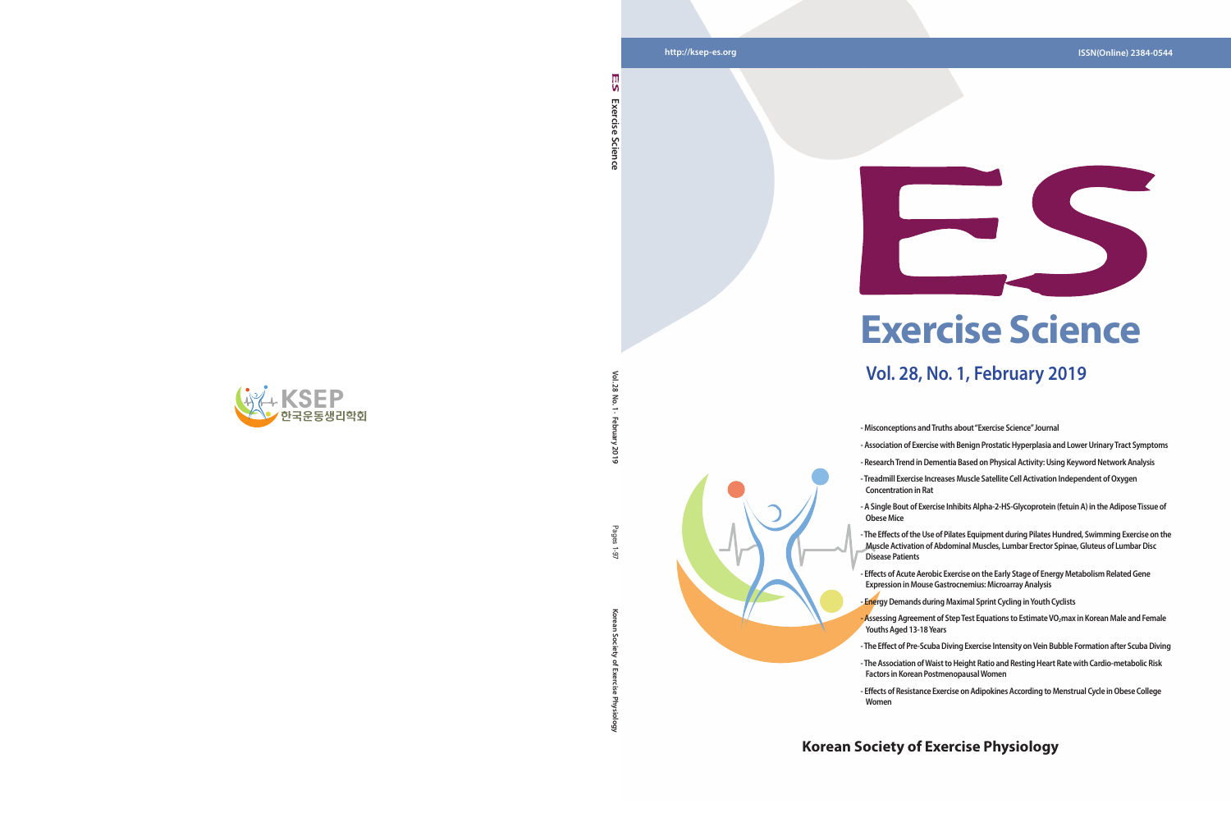**Vol. 28 No. 1 · February 2019**

2019

Pages  $6 - 1$ 

 $\leq$  $\overline{\mathbf{z}}$  $\overline{5}$ 

**Korean Society of Exercise Physiology** Pages 1-97

ਨ

### **Korean Society of Exercise Physiology**



**Exercise Science** 

Science

Exercise

۱n

# **Exercise Science**

## **Vol. 28, No. 1, February 2019**



- **Misconceptions and Truths about "Exercise Science" Journal**
- 
- **Association of Exercise with Benign Prostatic Hyperplasia and Lower Urinary Tract Symptoms**
- **Research Trend in Dementia Based on Physical Activity: Using Keyword Network Analysis**
- **A Single Bout of Exercise Inhibits Alpha-2-HS-Glycoprotein (fetuin A) in the Adipose Tissue of**
- **The Effects of the Use of Pilates Equipment during Pilates Hundred, Swimming Exercise on the Muscle Activation of Abdominal Muscles, Lumbar Erector Spinae, Gluteus of Lumbar Disc**
- 
- **Treadmill Exercise Increases Muscle Satellite Cell Activation Independent of Oxygen Concentration in Rat**
- **Obese Mice**
- **Disease Patients**
- **Effects of Acute Aerobic Exercise on the Early Stage of Energy Metabolism Related Gene Expression in Mouse Gastrocnemius: Microarray Analysis - Energy Demands during Maximal Sprint Cycling in Youth Cyclists**
- **Assessing Agreement of Step Test Equations to Estimate VO 2max in Korean Male and Female Youths Aged 13-18 Years**
- **The Effect of Pre-Scuba Diving Exercise Intensity on Vein Bubble Formation after Scuba Diving**
- **The Association of Waist to Height Ratio and Resting Heart Rate with Cardio-metabolic Risk Factors in Korean Postmenopausal Women**
- **Women**

**- Effects of Resistance Exercise on Adipokines According to Menstrual Cycle in Obese College**